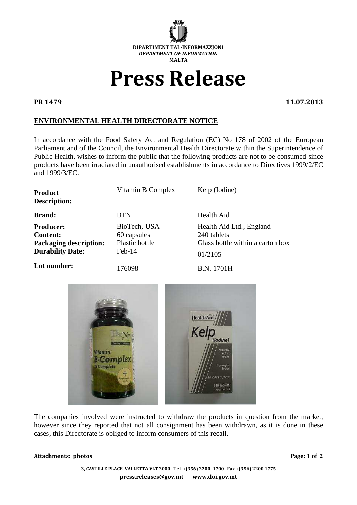

## Press Release

PR 1479 11.07.2013

## **ENVIRONMENTAL HEALTH DIRECTORATE NOTICE**

In accordance with the Food Safety Act and Regulation (EC) No 178 of 2002 of the European Parliament and of the Council, the Environmental Health Directorate within the Superintendence of Public Health, wishes to inform the public that the following products are not to be consumed since products have been irradiated in unauthorised establishments in accordance to Directives 1999/2/EC and 1999/3/EC.

| Product<br><b>Description:</b> | Vitamin B Complex | Kelp (Iodine)                    |
|--------------------------------|-------------------|----------------------------------|
| <b>Brand:</b>                  | <b>BTN</b>        | Health Aid                       |
| <b>Producer:</b>               | BioTech, USA      | Health Aid Ltd., England         |
| <b>Content:</b>                | 60 capsules       | 240 tablets                      |
| <b>Packaging description:</b>  | Plastic bottle    | Glass bottle within a carton box |
| <b>Durability Date:</b>        | Feb-14            | 01/2105                          |
| Lot number:                    | 176098            | B.N. 1701H                       |



The companies involved were instructed to withdraw the products in question from the market, however since they reported that not all consignment has been withdrawn, as it is done in these cases, this Directorate is obliged to inform consumers of this recall.

## Attachments: photos **Page: 1 of 2**